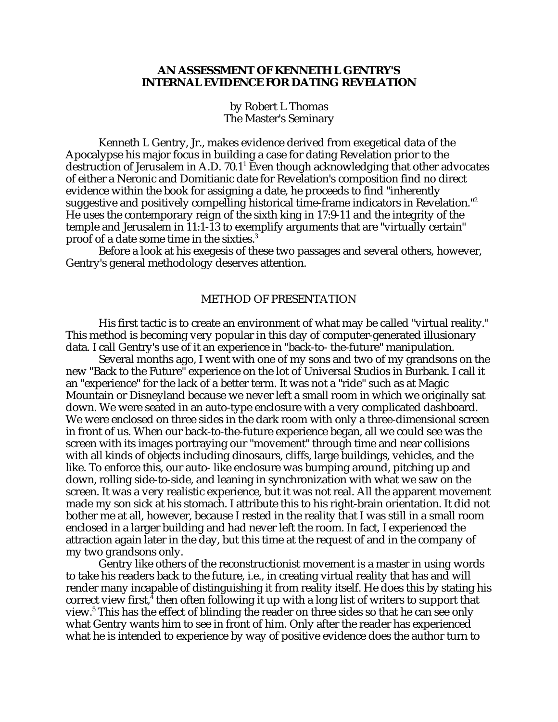# **AN ASSESSMENT OF KENNETH L GENTRY'S INTERNAL EVIDENCE FOR DATING REVELATION**

by Robert L Thomas The Master's Seminary

Kenneth L Gentry, Jr., makes evidence derived from exegetical data of the Apocalypse his major focus in building a case for dating Revelation prior to the destruction of Jerusalem in A.D. 70.1 $^1$  Even though acknowledging that other advocates of either a Neronic and Domitianic date for Revelation's composition find no direct evidence within the book for assigning a date, he proceeds to find "inherently suggestive and positively compelling historical time-frame indicators in Revelation."2 He uses the contemporary reign of the sixth king in 17:9-11 and the integrity of the temple and Jerusalem in 11:1-13 to exemplify arguments that are "virtually certain" proof of a date some time in the sixties.3

Before a look at his exegesis of these two passages and several others, however, Gentry's general methodology deserves attention.

#### METHOD OF PRESENTATION

His first tactic is to create an environment of what may be called "virtual reality." This method is becoming very popular in this day of computer-generated illusionary data. I call Gentry's use of it an experience in "back-to- the-future" manipulation.

Several months ago, I went with one of my sons and two of my grandsons on the new "Back to the Future" experience on the lot of Universal Studios in Burbank. I call it an "experience" for the lack of a better term. It was not a "ride" such as at Magic Mountain or Disneyland because we never left a small room in which we originally sat down. We were seated in an auto-type enclosure with a very complicated dashboard. We were enclosed on three sides in the dark room with only a three-dimensional screen in front of us. When our back-to-the-future experience began, all we could see was the screen with its images portraying our "movement" through time and near collisions with all kinds of objects including dinosaurs, cliffs, large buildings, vehicles, and the like. To enforce this, our auto- like enclosure was bumping around, pitching up and down, rolling side-to-side, and leaning in synchronization with what we saw on the screen. It was a very realistic experience, but it was not real. All the apparent movement made my son sick at his stomach. I attribute this to his right-brain orientation. It did not bother me at all, however, because I rested in the reality that I was still in a small room enclosed in a larger building and had never left the room. In fact, I experienced the attraction again later in the day, but this time at the request of and in the company of my two grandsons only.

Gentry like others of the reconstructionist movement is a master in using words to take his readers back to the future, i.e., in creating virtual reality that has and will render many incapable of distinguishing it from reality itself. He does this by stating his correct view first, $^{\bar{4}}$  then often following it up with a long list of writers to support that view.<sup>5</sup> This has the effect of blinding the reader on three sides so that he can see only what Gentry wants him to see in front of him. Only after the reader has experienced what he is intended to experience by way of positive evidence does the author turn to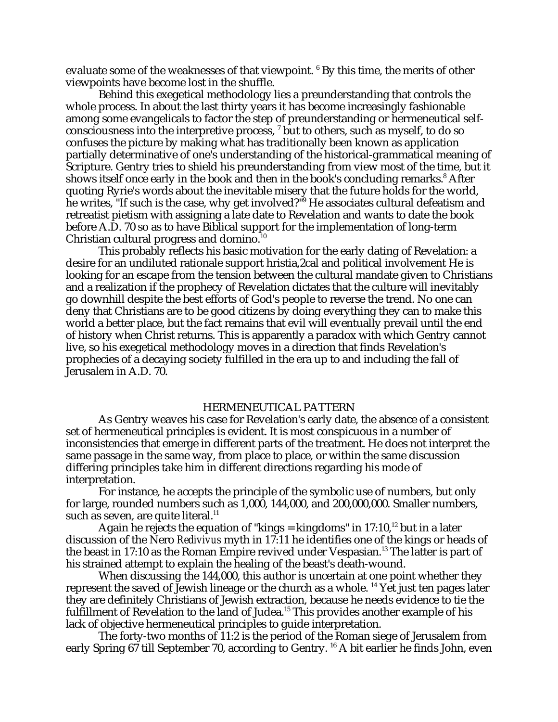evaluate some of the weaknesses of that viewpoint.  $^6$  By this time, the merits of other viewpoints have become lost in the shuffle.

Behind this exegetical methodology lies a preunderstanding that controls the whole process. In about the last thirty years it has become increasingly fashionable among some evangelicals to factor the step of preunderstanding or hermeneutical selfconsciousness into the interpretive process,  $^7$  but to others, such as myself, to do so confuses the picture by making what has traditionally been known as application partially determinative of one's understanding of the historical-grammatical meaning of Scripture. Gentry tries to shield his preunderstanding from view most of the time, but it shows itself once early in the book and then in the book's concluding remarks.<sup>8</sup> After quoting Ryrie's words about the inevitable misery that the future holds for the world, he writes, "If such is the case, why get involved?"<sup>9</sup> He associates cultural defeatism and retreatist pietism with assigning a late date to Revelation and wants to date the book before A.D. 70 so as to have Biblical support for the implementation of long-term Christian cultural progress and domino.<sup>10</sup>

This probably reflects his basic motivation for the early dating of Revelation: a desire for an undiluted rationale support hristia,2cal and political involvement He is looking for an escape from the tension between the cultural mandate given to Christians and a realization if the prophecy of Revelation dictates that the culture will inevitably go downhill despite the best efforts of God's people to reverse the trend. No one can deny that Christians are to be good citizens by doing everything they can to make this world a better place, but the fact remains that evil will eventually prevail until the end of history when Christ returns. This is apparently a paradox with which Gentry cannot live, so his exegetical methodology moves in a direction that finds Revelation's prophecies of a decaying society fulfilled in the era up to and including the fall of Jerusalem in A.D. 70.

## HERMENEUTICAL PATTERN

As Gentry weaves his case for Revelation's early date, the absence of a consistent set of hermeneutical principles is evident. It is most conspicuous in a number of inconsistencies that emerge in different parts of the treatment. He does not interpret the same passage in the same way, from place to place, or within the same discussion differing principles take him in different directions regarding his mode of interpretation.

For instance, he accepts the principle of the symbolic use of numbers, but only for large, rounded numbers such as 1,000, 144,000, and 200,000,000. Smaller numbers, such as seven, are quite literal.<sup>11</sup>

Again he rejects the equation of "kings = kingdoms" in  $17:10$ ,<sup>12</sup> but in a later discussion of the Nero *Redivivus* myth in 17:11 he identifies one of the kings or heads of the beast in 17:10 as the Roman Empire revived under Vespasian.<sup>13</sup> The latter is part of his strained attempt to explain the healing of the beast's death-wound.

When discussing the 144,000, this author is uncertain at one point whether they represent the saved of Jewish lineage or the church as a whole. 14 Yet just ten pages later they are definitely Christians of Jewish extraction, because he needs evidence to tie the fulfillment of Revelation to the land of Judea.<sup>15</sup> This provides another example of his lack of objective hermeneutical principles to guide interpretation.

The forty-two months of 11:2 is the period of the Roman siege of Jerusalem from early Spring 67 till September 70, according to Gentry. <sup>16</sup> A bit earlier he finds John, even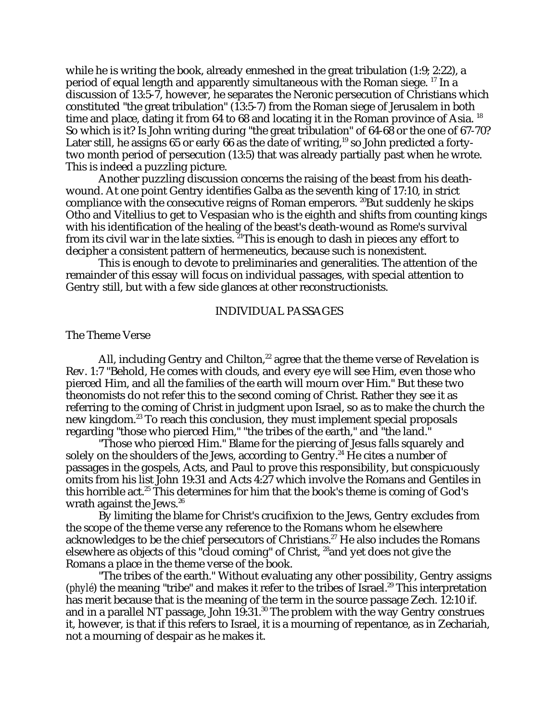while he is writing the book, already enmeshed in the great tribulation (1:9; 2:22), a period of equal length and apparently simultaneous with the Roman siege. 17 In a discussion of 13:5-7, however, he separates the Neronic persecution of Christians which constituted "the great tribulation" (13:5-7) from the Roman siege of Jerusalem in both time and place, dating it from 64 to 68 and locating it in the Roman province of Asia.<sup>18</sup> So which is it? Is John writing during "the great tribulation" of 64-68 or the one of 67-70? Later still, he assigns 65 or early 66 as the date of writing,<sup>19</sup> so John predicted a fortytwo month period of persecution (13:5) that was already partially past when he wrote. This is indeed a puzzling picture.

Another puzzling discussion concerns the raising of the beast from his deathwound. At one point Gentry identifies Galba as the seventh king of 17:10, in strict compliance with the consecutive reigns of Roman emperors. <sup>20</sup>But suddenly he skips Otho and Vitellius to get to Vespasian who is the eighth and shifts from counting kings with his identification of the healing of the beast's death-wound as Rome's survival from its civil war in the late sixties.  $21$ This is enough to dash in pieces any effort to decipher a consistent pattern of hermeneutics, because such is nonexistent.

This is enough to devote to preliminaries and generalities. The attention of the remainder of this essay will focus on individual passages, with special attention to Gentry still, but with a few side glances at other reconstructionists.

## INDIVIDUAL PASSAGES

## The Theme Verse

All, including Gentry and Chilton, $^{22}$  agree that the theme verse of Revelation is Rev. 1:7 "Behold, He comes with clouds, and every eye will see Him, even those who pierced Him, and all the families of the earth will mourn over Him." But these two theonomists do not refer this to the second coming of Christ. Rather they see it as referring to the coming of Christ in judgment upon Israel, so as to make the church the new kingdom.23 To reach this conclusion, they must implement special proposals regarding "those who pierced Him," "the tribes of the earth," and "the land."

"Those who pierced Him." Blame for the piercing of Jesus falls squarely and solely on the shoulders of the Jews, according to Gentry.<sup>24</sup> He cites a number of passages in the gospels, Acts, and Paul to prove this responsibility, but conspicuously omits from his list John 19:31 and Acts 4:27 which involve the Romans and Gentiles in this horrible act.<sup>25</sup> This determines for him that the book's theme is coming of God's wrath against the Jews.<sup>26</sup>

By limiting the blame for Christ's crucifixion to the Jews, Gentry excludes from the scope of the theme verse any reference to the Romans whom he elsewhere acknowledges to be the chief persecutors of Christians.<sup>27</sup> He also includes the Romans elsewhere as objects of this "cloud coming" of Christ, 28and yet does not give the Romans a place in the theme verse of the book.

"The tribes of the earth." Without evaluating any other possibility, Gentry assigns (*phyle*) the meaning "tribe" and makes it refer to the tribes of Israel.<sup>29</sup> This interpretation has merit because that is the meaning of the term in the source passage Zech. 12:10 if. and in a parallel NT passage, John  $19.31$ .<sup>30</sup> The problem with the way Gentry construes it, however, is that if this refers to Israel, it is a mourning of repentance, as in Zechariah, not a mourning of despair as he makes it.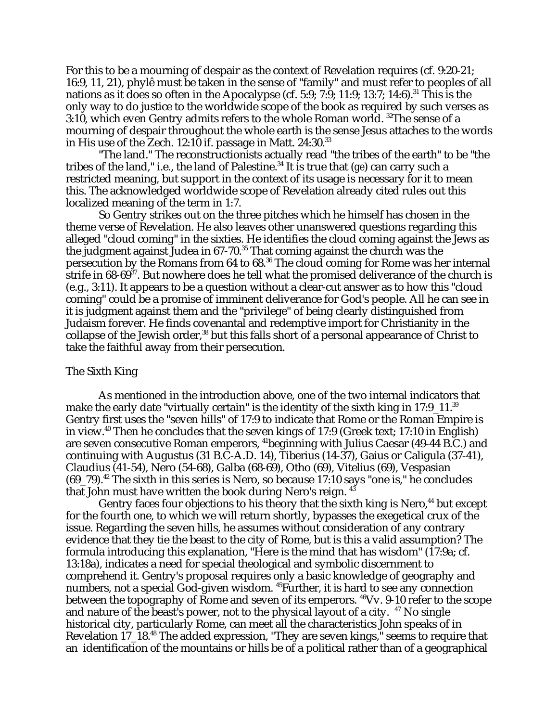For this to be a mourning of despair as the context of Revelation requires (cf. 9:20-21; 16:9, 11, 21), phylê must be taken in the sense of "family" and must refer to peoples of all nations as it does so often in the Apocalypse (cf. 5:9; 7:9; 11:9; 13:7; 14:6).<sup>31</sup> This is the only way to do justice to the worldwide scope of the book as required by such verses as 3:10, which even Gentry admits refers to the whole Roman world. <sup>32</sup>The sense of a mourning of despair throughout the whole earth is the sense Jesus attaches to the words in His use of the Zech. 12:10 if. passage in Matt. 24:30.<sup>33</sup>

"The land." The reconstructionists actually read "the tribes of the earth" to be "the tribes of the land," i.e., the land of Palestine.34 It is true that (*ge*) can carry such a restricted meaning, but support in the context of its usage is necessary for it to mean this. The acknowledged worldwide scope of Revelation already cited rules out this localized meaning of the term in 1:7.

So Gentry strikes out on the three pitches which he himself has chosen in the theme verse of Revelation. He also leaves other unanswered questions regarding this alleged "cloud coming" in the sixties. He identifies the cloud coming against the Jews as the judgment against Judea in  $67-70$ <sup>35</sup> That coming against the church was the persecution by the Romans from 64 to 68.36 The cloud coming for Rome was her internal strife in  $68-69^{37}$ . But nowhere does he tell what the promised deliverance of the church is (e.g., 3:11). It appears to be a question without a clear-cut answer as to how this "cloud coming" could be a promise of imminent deliverance for God's people. All he can see in it is judgment against them and the "privilege" of being clearly distinguished from Judaism forever. He finds covenantal and redemptive import for Christianity in the collapse of the Jewish order,<sup>38</sup> but this falls short of a personal appearance of Christ to take the faithful away from their persecution.

### The Sixth King

As mentioned in the introduction above, one of the two internal indicators that make the early date "virtually certain" is the identity of the sixth king in 17:9 11.<sup>39</sup> Gentry first uses the "seven hills" of 17:9 to indicate that Rome or the Roman Empire is in view.40 Then he concludes that the seven kings of 17:9 (Greek text; 17:10 in English) are seven consecutive Roman emperors, 41beginning with Julius Caesar (49-44 B.C.) and continuing with Augustus (31 B.C-A.D. 14), Tiberius (14-37), Gaius or Caligula (37-41), Claudius (41-54), Nero (54-68), Galba (68-69), Otho (69), Vitelius (69), Vespasian  $(69-79).$ <sup>42</sup> The sixth in this series is Nero, so because 17:10 says "one is," he concludes that John must have written the book during Nero's reign.  $45$ 

Gentry faces four objections to his theory that the sixth king is Nero,<sup>44</sup> but except for the fourth one, to which we will return shortly, bypasses the exegetical crux of the issue. Regarding the seven hills, he assumes without consideration of any contrary evidence that they tie the beast to the city of Rome, but is this a valid assumption? The formula introducing this explanation, "Here is the mind that has wisdom" (17:9a; cf. 13:18a), indicates a need for special theological and symbolic discernment to comprehend it. Gentry's proposal requires only a basic knowledge of geography and numbers, not a special God-given wisdom. <sup>45</sup>Further, it is hard to see any connection between the topography of Rome and seven of its emperors. <sup>46</sup>Vv. 9-10 refer to the scope and nature of the beast's power, not to the physical layout of a city.  $47$  No single historical city, particularly Rome, can meet all the characteristics John speaks of in Revelation 17\_18.48 The added expression, "They are seven kings," seems to require that an identification of the mountains or hills be of a political rather than of a geographical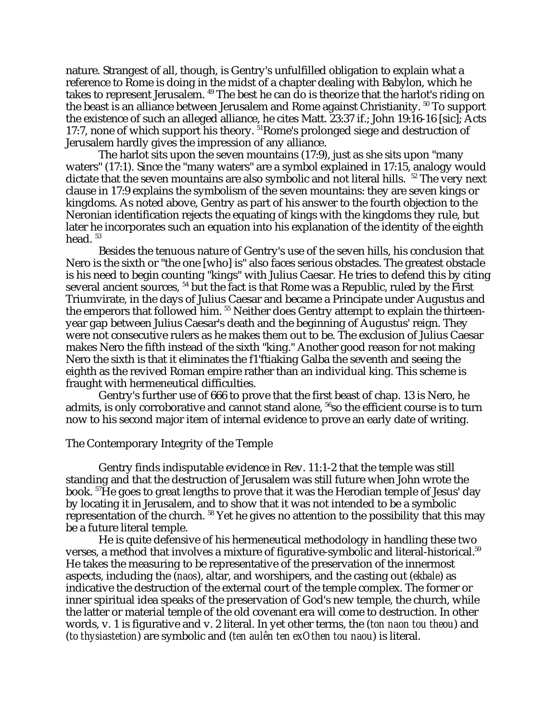nature. Strangest of all, though, is Gentry's unfulfilled obligation to explain what a reference to Rome is doing in the midst of a chapter dealing with Babylon, which he takes to represent Jerusalem. 49 The best he can do is theorize that the harlot's riding on the beast is an alliance between Jerusalem and Rome against Christianity.<sup>50</sup> To support the existence of such an alleged alliance, he cites Matt. 23:37 if.; John 19:16-16 [sic]; Acts 17:7, none of which support his theory. 51Rome's prolonged siege and destruction of Jerusalem hardly gives the impression of any alliance.

The harlot sits upon the seven mountains (17:9), just as she sits upon "many waters" (17:1). Since the "many waters" are a symbol explained in 17:15, analogy would dictate that the seven mountains are also symbolic and not literal hills. <sup>52</sup> The very next clause in 17:9 explains the symbolism of the seven mountains: they are seven kings or kingdoms. As noted above, Gentry as part of his answer to the fourth objection to the Neronian identification rejects the equating of kings with the kingdoms they rule, but later he incorporates such an equation into his explanation of the identity of the eighth head.  $53$ 

Besides the tenuous nature of Gentry's use of the seven hills, his conclusion that Nero is the sixth or "the one [who] is" also faces serious obstacles. The greatest obstacle is his need to begin counting "kings" with Julius Caesar. He tries to defend this by citing several ancient sources, 54 but the fact is that Rome was a Republic, ruled by the First Triumvirate, in the days of Julius Caesar and became a Principate under Augustus and the emperors that followed him.<sup>55</sup> Neither does Gentry attempt to explain the thirteenyear gap between Julius Caesar's death and the beginning of Augustus' reign. They were not consecutive rulers as he makes them out to be. The exclusion of Julius Caesar makes Nero the fifth instead of the sixth "king." Another good reason for not making Nero the sixth is that it eliminates the f1'ftiaking Galba the seventh and seeing the eighth as the revived Roman empire rather than an individual king. This scheme is fraught with hermeneutical difficulties.

Gentry's further use of 666 to prove that the first beast of chap. 13 is Nero, he admits, is only corroborative and cannot stand alone, <sup>56</sup>so the efficient course is to turn now to his second major item of internal evidence to prove an early date of writing.

### The Contemporary Integrity of the Temple

Gentry finds indisputable evidence in Rev. 11:1-2 that the temple was still standing and that the destruction of Jerusalem was still future when John wrote the book. 57He goes to great lengths to prove that it was the Herodian temple of Jesus' day by locating it in Jerusalem, and to show that it was not intended to be a symbolic representation of the church. 58 Yet he gives no attention to the possibility that this may be a future literal temple.

He is quite defensive of his hermeneutical methodology in handling these two verses, a method that involves a mixture of figurative-symbolic and literal-historical.<sup>59</sup> He takes the measuring to be representative of the preservation of the innermost aspects, including the (*naos*), altar, and worshipers, and the casting out (*ekbale*) as indicative the destruction of the external court of the temple complex. The former or inner spiritual idea speaks of the preservation of God's new temple, the church, while the latter or material temple of the old covenant era will come to destruction. In other words, v. 1 is figurative and v. 2 literal. In yet other terms, the (*ton naon tou theou*) and (*to thysiastetion*) are symbolic and (*ten aulên ten exOthen tou naou*) is literal.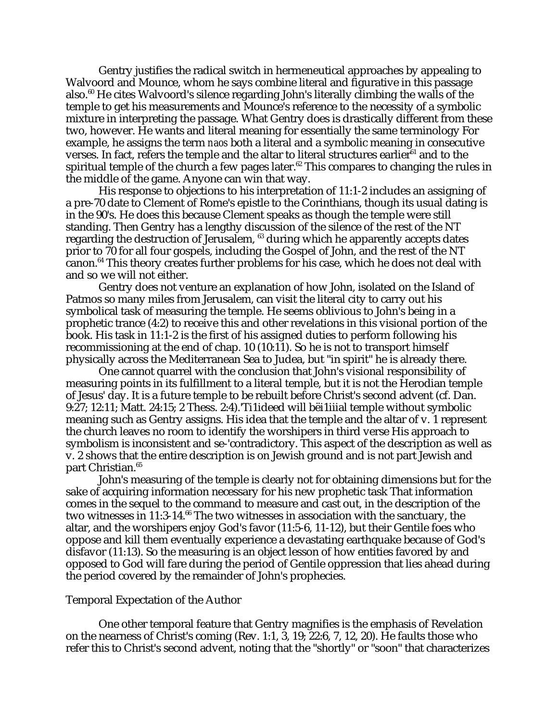Gentry justifies the radical switch in hermeneutical approaches by appealing to Walvoord and Mounce, whom he says combine literal and figurative in this passage also. $60$  He cites Walvoord's silence regarding John's literally climbing the walls of the temple to get his measurements and Mounce's reference to the necessity of a symbolic mixture in interpreting the passage. What Gentry does is drastically different from these two, however. He wants and literal meaning for essentially the same terminology For example, he assigns the term *naos* both a literal and a symbolic meaning in consecutive verses. In fact, refers the temple and the altar to literal structures earlier $^{61}$  and to the spiritual temple of the church a few pages later.<sup>62</sup> This compares to changing the rules in the middle of the game. Anyone can win that way.

His response to objections to his interpretation of 11:1-2 includes an assigning of a pre-70 date to Clement of Rome's epistle to the Corinthians, though its usual dating is in the 90's. He does this because Clement speaks as though the temple were still standing. Then Gentry has a lengthy discussion of the silence of the rest of the NT regarding the destruction of Jerusalem, <sup>63</sup> during which he apparently accepts dates prior to 70 for all four gospels, including the Gospel of John, and the rest of the NT canon.64 This theory creates further problems for his case, which he does not deal with and so we will not either.

Gentry does not venture an explanation of how John, isolated on the Island of Patmos so many miles from Jerusalem, can visit the literal city to carry out his symbolical task of measuring the temple. He seems oblivious to John's being in a prophetic trance (4:2) to receive this and other revelations in this visional portion of the book. His task in 11:1-2 is the first of his assigned duties to perform following his recommissioning at the end of chap. 10 (10:11). So he is not to transport himself physically across the Mediterranean Sea to Judea, but "in spirit" he is already there.

One cannot quarrel with the conclusion that John's visional responsibility of measuring points in its fulfillment to a literal temple, but it is not the Herodian temple of Jesus' day. It is a future temple to be rebuilt before Christ's second advent (cf. Dan. 9:27; 12:11; Matt. 24:15; 2 Thess. 2:4).'Ti1ideed will bëi1iiial temple without symbolic meaning such as Gentry assigns. His idea that the temple and the altar of v. 1 represent the church leaves no room to identify the worshipers in third verse His approach to symbolism is inconsistent and se-'contradictory. This aspect of the description as well as v. 2 shows that the entire description is on Jewish ground and is not part Jewish and part Christian.<sup>65</sup>

John's measuring of the temple is clearly not for obtaining dimensions but for the sake of acquiring information necessary for his new prophetic task That information comes in the sequel to the command to measure and cast out, in the description of the two witnesses in 11:3-14. $^{66}$  The two witnesses in association with the sanctuary, the altar, and the worshipers enjoy God's favor (11:5-6, 11-12), but their Gentile foes who oppose and kill them eventually experience a devastating earthquake because of God's disfavor (11:13). So the measuring is an object lesson of how entities favored by and opposed to God will fare during the period of Gentile oppression that lies ahead during the period covered by the remainder of John's prophecies.

#### Temporal Expectation of the Author

One other temporal feature that Gentry magnifies is the emphasis of Revelation on the nearness of Christ's coming (Rev. 1:1, 3, 19; 22:6, 7, 12, 20). He faults those who refer this to Christ's second advent, noting that the "shortly" or "soon" that characterizes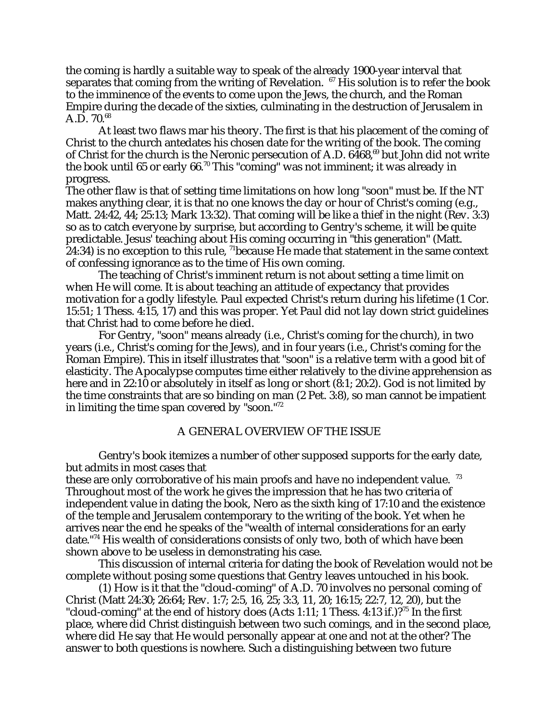the coming is hardly a suitable way to speak of the already 1900-year interval that separates that coming from the writing of Revelation.  $67$  His solution is to refer the book to the imminence of the events to come upon the Jews, the church, and the Roman Empire during the decade of the sixties, culminating in the destruction of Jerusalem in  $A.D. 70.<sup>68</sup>$ 

At least two flaws mar his theory. The first is that his placement of the coming of Christ to the church antedates his chosen date for the writing of the book. The coming of Christ for the church is the Neronic persecution of A.D.  $6468$ ,<sup>69</sup> but John did not write the book until 65 or early  $66.^{70}$  This "coming" was not imminent; it was already in progress.

The other flaw is that of setting time limitations on how long "soon" must be. If the NT makes anything clear, it is that no one knows the day or hour of Christ's coming (e.g., Matt. 24:42, 44; 25:13; Mark 13:32). That coming will be like a thief in the night (Rev. 3:3) so as to catch everyone by surprise, but according to Gentry's scheme, it will be quite predictable. Jesus' teaching about His coming occurring in "this generation" (Matt.  $24:34$ ) is no exception to this rule, <sup>71</sup>because He made that statement in the same context of confessing ignorance as to the time of His own coming.

The teaching of Christ's imminent return is not about setting a time limit on when He will come. It is about teaching an attitude of expectancy that provides motivation for a godly lifestyle. Paul expected Christ's return during his lifetime (1 Cor. 15:51; 1 Thess. 4:15, 17) and this was proper. Yet Paul did not lay down strict guidelines that Christ had to come before he died.

For Gentry, "soon" means already (i.e., Christ's coming for the church), in two years (i.e., Christ's coming for the Jews), and in four years (i.e., Christ's coming for the Roman Empire). This in itself illustrates that "soon" is a relative term with a good bit of elasticity. The Apocalypse computes time either relatively to the divine apprehension as here and in 22:10 or absolutely in itself as long or short  $(8.1; 20.2)$ . God is not limited by the time constraints that are so binding on man (2 Pet. 3:8), so man cannot be impatient in limiting the time span covered by "soon."72

### A GENERAL OVERVIEW OF THE ISSUE

Gentry's book itemizes a number of other supposed supports for the early date, but admits in most cases that

these are only corroborative of his main proofs and have no independent value.<sup>73</sup> Throughout most of the work he gives the impression that he has two criteria of independent value in dating the book, Nero as the sixth king of 17:10 and the existence of the temple and Jerusalem contemporary to the writing of the book. Yet when he arrives near the end he speaks of the "wealth of internal considerations for an early date."74 His wealth of considerations consists of only two, both of which have been shown above to be useless in demonstrating his case.

This discussion of internal criteria for dating the book of Revelation would not be complete without posing some questions that Gentry leaves untouched in his book.

(1) How is it that the "cloud-coming" of A.D. 70 involves no personal coming of Christ (Matt 24:30; 26:64; Rev. 1:7; 2:5, 16, 25; 3:3, 11, 20; 16:15; 22:7, 12, 20), but the "cloud-coming" at the end of history does (Acts 1:11; 1 Thess. 4:13 if.)?<sup>75</sup> In the first place, where did Christ distinguish between two such comings, and in the second place, where did He say that He would personally appear at one and not at the other? The answer to both questions is nowhere. Such a distinguishing between two future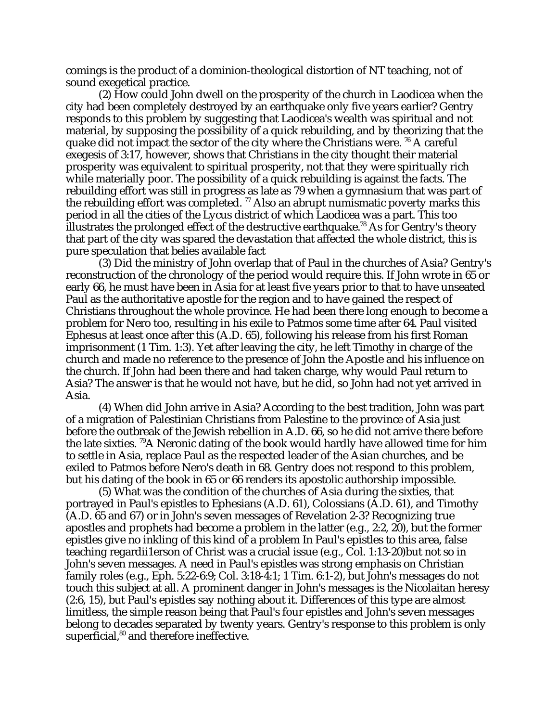comings is the product of a dominion-theological distortion of NT teaching, not of sound exegetical practice.

(2) How could John dwell on the prosperity of the church in Laodicea when the city had been completely destroyed by an earthquake only five years earlier? Gentry responds to this problem by suggesting that Laodicea's wealth was spiritual and not material, by supposing the possibility of a quick rebuilding, and by theorizing that the quake did not impact the sector of the city where the Christians were.  $^{76}$  A careful exegesis of 3:17, however, shows that Christians in the city thought their material prosperity was equivalent to spiritual prosperity, not that they were spiritually rich while materially poor. The possibility of a quick rebuilding is against the facts. The rebuilding effort was still in progress as late as 79 when a gymnasium that was part of the rebuilding effort was completed.  $77$  Also an abrupt numismatic poverty marks this period in all the cities of the Lycus district of which Laodicea was a part. This too illustrates the prolonged effect of the destructive earthquake.<sup>78</sup> As for Gentry's theory that part of the city was spared the devastation that affected the whole district, this is pure speculation that belies available fact

(3) Did the ministry of John overlap that of Paul in the churches of Asia? Gentry's reconstruction of the chronology of the period would require this. If John wrote in 65 or early 66, he must have been in Asia for at least five years prior to that to have unseated Paul as the authoritative apostle for the region and to have gained the respect of Christians throughout the whole province. He had been there long enough to become a problem for Nero too, resulting in his exile to Patmos some time after 64. Paul visited Ephesus at least once after this (A.D. 65), following his release from his first Roman imprisonment (1 Tim. 1:3). Yet after leaving the city, he left Timothy in charge of the church and made no reference to the presence of John the Apostle and his influence on the church. If John had been there and had taken charge, why would Paul return to Asia? The answer is that he would not have, but he did, so John had not yet arrived in Asia.

(4) When did John arrive in Asia? According to the best tradition, John was part of a migration of Palestinian Christians from Palestine to the province of Asia just before the outbreak of the Jewish rebellion in A.D. 66, so he did not arrive there before the late sixties. 79A Neronic dating of the book would hardly have allowed time for him to settle in Asia, replace Paul as the respected leader of the Asian churches, and be exiled to Patmos before Nero's death in 68. Gentry does not respond to this problem, but his dating of the book in 65 or 66 renders its apostolic authorship impossible.

(5) What was the condition of the churches of Asia during the sixties, that portrayed in Paul's epistles to Ephesians (A.D. 61), Colossians (A.D. 61), and Timothy (A.D. 65 and 67) or in John's seven messages of Revelation 2-3? Recognizing true apostles and prophets had become a problem in the latter (e.g., 2:2, 20), but the former epistles give no inkling of this kind of a problem In Paul's epistles to this area, false teaching regardii1erson of Christ was a crucial issue (e.g., Col. 1:13-20)but not so in John's seven messages. A need in Paul's epistles was strong emphasis on Christian family roles (e.g., Eph. 5:22-6:9; Col. 3:18-4:1; 1 Tim. 6:1-2), but John's messages do not touch this subject at all. A prominent danger in John's messages is the Nicolaitan heresy (2:6, 15), but Paul's epistles say nothing about it. Differences of this type are almost limitless, the simple reason being that Paul's four epistles and John's seven messages belong to decades separated by twenty years. Gentry's response to this problem is only superficial,<sup>80</sup> and therefore ineffective.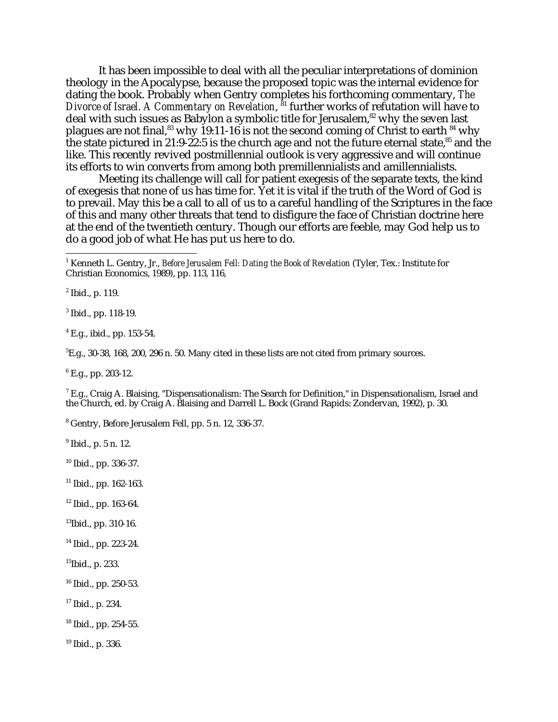It has been impossible to deal with all the peculiar interpretations of dominion theology in the Apocalypse, because the proposed topic was the internal evidence for dating the book. Probably when Gentry completes his forthcoming commentary, *The Divorce of Israel. A Commentary on Revelation*, <sup>81</sup> further works of refutation will have to deal with such issues as Babylon a symbolic title for Jerusalem,<sup>82</sup> why the seven last plagues are not final,<sup>83</sup> why 19:11-16 is not the second coming of Christ to earth  $84$  why the state pictured in 21:9-22:5 is the church age and not the future eternal state, $85$  and the like. This recently revived postmillennial outlook is very aggressive and will continue its efforts to win converts from among both premillennialists and amillennialists.

Meeting its challenge will call for patient exegesis of the separate texts, the kind of exegesis that none of us has time for. Yet it is vital if the truth of the Word of God is to prevail. May this be a call to all of us to a careful handling of the Scriptures in the face of this and many other threats that tend to disfigure the face of Christian doctrine here at the end of the twentieth century. Though our efforts are feeble, may God help us to do a good job of what He has put us here to do.

 $<sup>2</sup>$  Ibid., p. 119.</sup>

3 Ibid., pp. 118-19.

4 E.g., ibid., pp. 153-54.

 ${}^{5}E$ .g., 30-38, 168, 200, 296 n. 50. Many cited in these lists are not cited from primary sources.

6 E.g., pp. 203-12.

 $^7$  E.g., Craig A. Blaising, "Dispensationalism: The Search for Definition," in Dispensationalism, Israel and the Church, ed. by Craig A. Blaising and Darrell L. Bock (Grand Rapids: Zondervan, 1992), p. 30.

8 Gentry, Before Jerusalem Fell, pp. 5 n. 12, 336-37.

<sup>9</sup> Ibid., p. 5 n. 12.

10 Ibid., pp. 336-37.

 $11$  Ibid., pp. 162-163.

12 Ibid., pp. 163-64.

13Ibid., pp. 310-16.

14 Ibid., pp. 223-24.

15Ibid., p. 233.

16 Ibid., pp. 250-53.

- 17 Ibid., p. 234.
- 18 Ibid., pp. 254-55.

19 Ibid., p. 336.

 $\frac{1}{1}$ <sup>1</sup> Kenneth L. Gentry, Jr., *Before Jerusalem Fell: Dating the Book of Revelation* (Tyler, Tex.: Institute for Christian Economics, 1989), pp. 113, 116,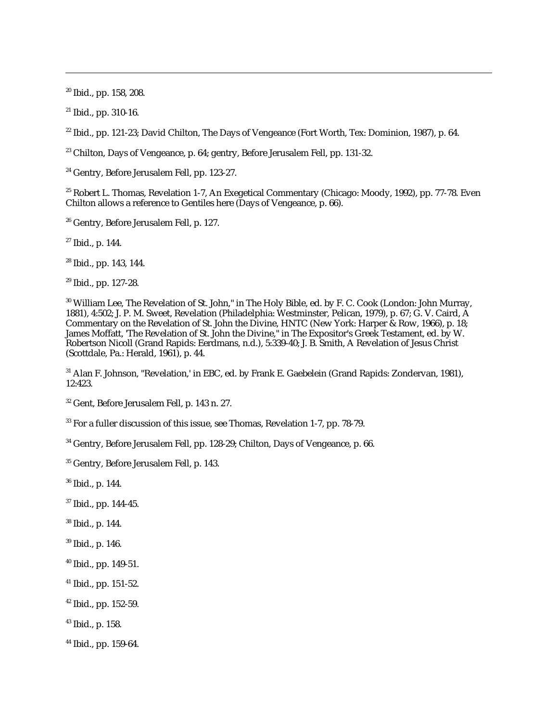20 Ibid., pp. 158, 208.

 $\overline{a}$ 

 $21$  Ibid., pp. 310-16.

<sup>22</sup> Ibid., pp. 121-23; David Chilton, The Days of Vengeance (Fort Worth, Tex: Dominion, 1987), p. 64.

 $23$  Chilton, Days of Vengeance, p. 64; gentry, Before Jerusalem Fell, pp. 131-32.

<sup>24</sup> Gentry, Before Jerusalem Fell, pp. 123-27.

<sup>25</sup> Robert L. Thomas, Revelation 1-7, An Exegetical Commentary (Chicago: Moody, 1992), pp. 77-78. Even Chilton allows a reference to Gentiles here (Days of Vengeance, p. 66).

26 Gentry, Before Jerusalem Fell, p. 127.

 $27$  Ibid., p. 144.

28 Ibid., pp. 143, 144.

29 Ibid., pp. 127-28.

<sup>30</sup> William Lee, The Revelation of St. John," in The Holy Bible, ed. by F. C. Cook (London: John Murray, 1881), 4:502; J. P. M. Sweet, Revelation (Philadelphia: Westminster, Pelican, 1979), p. 67; G. V. Caird, A Commentary on the Revelation of St. John the Divine, HNTC (New York: Harper & Row, 1966), p. 18; James Moffatt, 'The Revelation of St. John the Divine," in The Expositor's Greek Testament, ed. by W. Robertson Nicoll (Grand Rapids: Eerdmans, n.d.), 5:339-40; J. B. Smith, A Revelation of Jesus Christ (Scottdale, Pa.: Herald, 1961), p. 44.

31 Alan F. Johnson, "Revelation,' in EBC, ed. by Frank E. Gaebelein (Grand Rapids: Zondervan, 1981), 12:423.

32 Gent, Before Jerusalem Fell, p. 143 n. 27.

33 For a fuller discussion of this issue, see Thomas, Revelation 1-7, pp. 78-79.

<sup>34</sup> Gentry, Before Jerusalem Fell, pp. 128-29; Chilton, Days of Vengeance, p. 66.

35 Gentry, Before Jerusalem Fell, p. 143.

36 Ibid., p. 144.

37 Ibid., pp. 144-45.

38 Ibid., p. 144.

39 Ibid., p. 146.

- 40 Ibid., pp. 149-51.
- 41 Ibid., pp. 151-52.
- 42 Ibid., pp. 152-59.
- 43 Ibid., p. 158.
- 44 Ibid., pp. 159-64.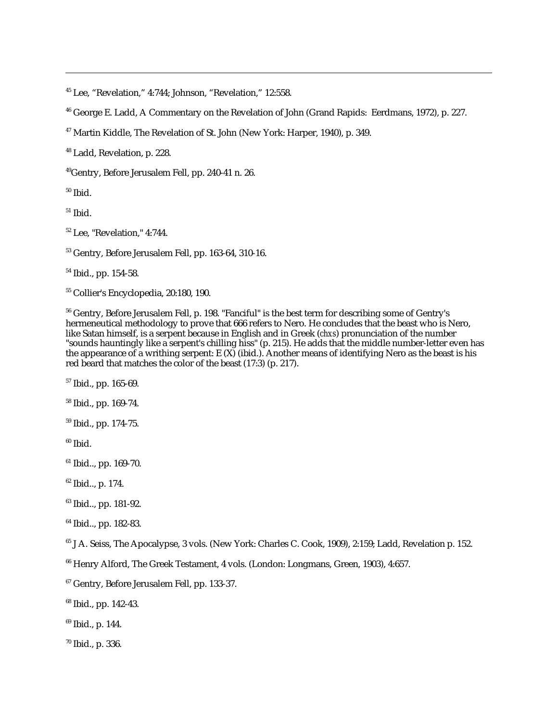45 Lee, "Revelation," 4:744; Johnson, "Revelation," 12:558.

46 George E. Ladd, A Commentary on the Revelation of John (Grand Rapids: Eerdmans, 1972), p. 227.

47 Martin Kiddle, The Revelation of St. John (New York: Harper, 1940), p. 349.

48 Ladd, Revelation, p. 228.

49Gentry, Before Jerusalem Fell, pp. 240-41 n. 26.

 $50$  Ibid.

 $\overline{a}$ 

 $51$  Ibid.

52 Lee, "Revelation," 4:744.

53 Gentry, Before Jerusalem Fell, pp. 163-64, 310-16.

54 Ibid., pp. 154-58.

55 Collier's Encyclopedia, 20:180, 190.

 $^{56}$  Gentry, Before Jerusalem Fell, p. 198. "Fanciful" is the best term for describing some of Gentry's hermeneutical methodology to prove that 666 refers to Nero. He concludes that the beast who is Nero, like Satan himself, is a serpent because in English and in Greek (*chxs*) pronunciation of the number "sounds hauntingly like a serpent's chilling hiss" (p. 215). He adds that the middle number-letter even has the appearance of a writhing serpent: E (X) (ibid.). Another means of identifying Nero as the beast is his red beard that matches the color of the beast (17:3) (p. 217).

57 Ibid., pp. 165-69.

58 Ibid., pp. 169-74.

59 Ibid., pp. 174-75.

 $b$ idl $b$ <sup>60</sup>

61 Ibid.., pp. 169-70.

62 Ibid.., p. 174.

63 Ibid.., pp. 181-92.

64 Ibid.., pp. 182-83.

65 J A. Seiss, The Apocalypse, 3 vols. (New York: Charles C. Cook, 1909), 2:159; Ladd, Revelation p. 152.

66 Henry Alford, The Greek Testament, 4 vols. (London: Longmans, Green, 1903), 4:657.

67 Gentry, Before Jerusalem Fell, pp. 133-37.

68 Ibid., pp. 142-43.

69 Ibid., p. 144.

70 Ibid., p. 336.